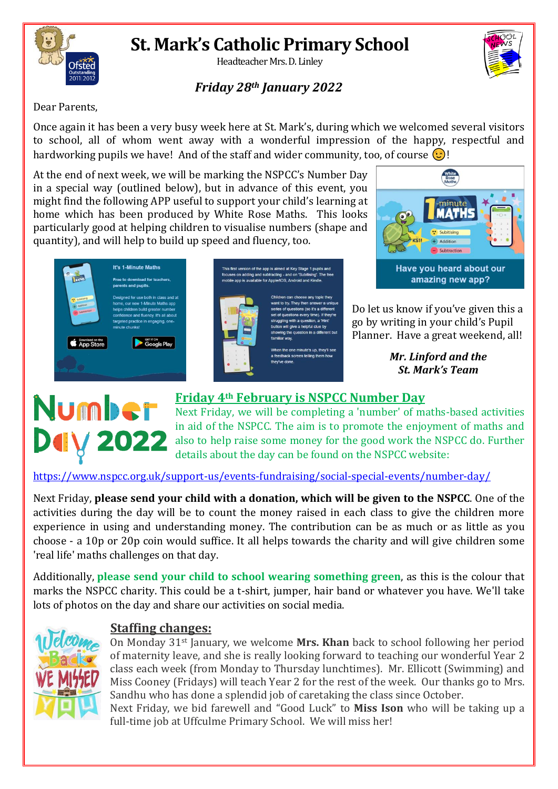

# **St. Mark's Catholic Primary School**

Headteacher Mrs. D. Linley

## *Friday 28th January 2022*

Dear Parents,

Once again it has been a very busy week here at St. Mark's, during which we welcomed several visitors to school, all of whom went away with a wonderful impression of the happy, respectful and hardworking pupils we have! And of the staff and wider community, too, of course  $\odot$ !

This first version of the app is aimed at Key Stage 1 pupil<br>focuses on adding and subtracting - and on 'Subitising'. T<br>mobile app is available for Apple/IOS, Android and Kindle

At the end of next week, we will be marking the NSPCC's Number Day in a special way (outlined below), but in advance of this event, you might find the following APP useful to support your child's learning at home which has been produced by White Rose Maths. This looks particularly good at helping children to visualise numbers (shape and quantity), and will help to build up speed and fluency, too.



Do let us know if you've given this a go by writing in your child's Pupil Planner. Have a great weekend, all!

> *Mr. Linford and the St. Mark's Team*



#### series or questions (so it's a unicidity<br>set of questions every time). If they're<br>struggling with a question, a 'Hint'<br>button will give a helpful clue by ing the question in a differ iar way en the one minute's up, they'll see dback screen telling ther they've done

Children can choose any topic th<br>want to try. They then answer a u

series of questions (so it's a diff



### **Friday 4th February is NSPCC Number Day**

Next Friday, we will be completing a 'number' of maths-based activities in aid of the NSPCC. The aim is to promote the enjoyment of maths and also to help raise some money for the good work the NSPCC do. Further details about the day can be found on the NSPCC website:

#### <https://www.nspcc.org.uk/support-us/events-fundraising/social-special-events/number-day/>

Next Friday, **please send your child with a donation, which will be given to the NSPCC**. One of the activities during the day will be to count the money raised in each class to give the children more experience in using and understanding money. The contribution can be as much or as little as you choose - a 10p or 20p coin would suffice. It all helps towards the charity and will give children some 'real life' maths challenges on that day.

Additionally, **please send your child to school wearing something green**, as this is the colour that marks the NSPCC charity. This could be a t-shirt, jumper, hair band or whatever you have. We'll take lots of photos on the day and share our activities on social media.

full-time job at Uffculme Primary School. We will miss her!



#### **Staffing changes:**

On Monday 31st January, we welcome **Mrs. Khan** back to school following her period of maternity leave, and she is really looking forward to teaching our wonderful Year 2 class each week (from Monday to Thursday lunchtimes). Mr. Ellicott (Swimming) and Miss Cooney (Fridays) will teach Year 2 for the rest of the week. Our thanks go to Mrs. Sandhu who has done a splendid job of caretaking the class since October. Next Friday, we bid farewell and "Good Luck" to **Miss Ison** who will be taking up a